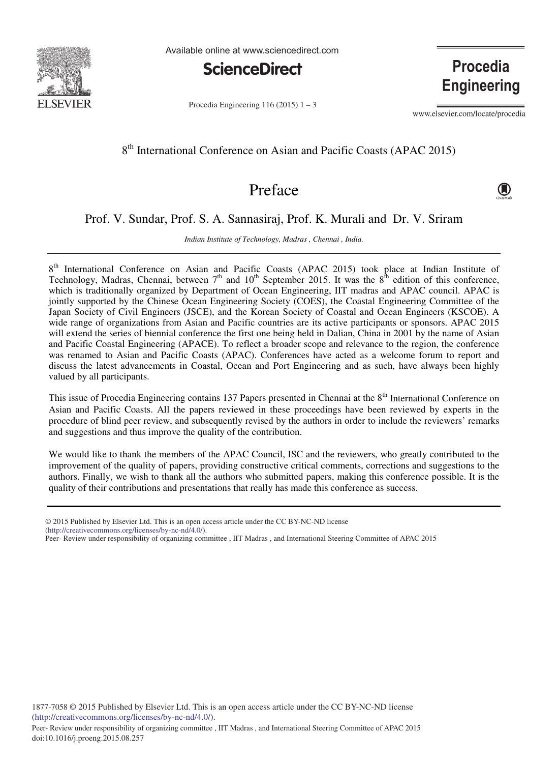

Available online at www.sciencedirect.com



**Procedia Engineering** 

 $\mathbf{O}$ 

Procedia Engineering  $116 (2015)$  1 – 3

www.elsevier.com/locate/procedia

## 8<sup>th</sup> International Conference on Asian and Pacific Coasts (APAC 2015)

## Preface

Prof. V. Sundar, Prof. S. A. Sannasiraj, Prof. K. Murali and Dr. V. Sriram

*Indian Institute of Technology, Madras , Chennai , India.* 

8<sup>th</sup> International Conference on Asian and Pacific Coasts (APAC 2015) took place at Indian Institute of Technology, Madras, Chennai, between  $7<sup>th</sup>$  and  $10<sup>th</sup>$  September 2015. It was the  $8<sup>th</sup>$  edition of this conference, which is traditionally organized by Department of Ocean Engineering, IIT madras and APAC council. APAC is jointly supported by the Chinese Ocean Engineering Society (COES), the Coastal Engineering Committee of the Japan Society of Civil Engineers (JSCE), and the Korean Society of Coastal and Ocean Engineers (KSCOE). A wide range of organizations from Asian and Pacific countries are its active participants or sponsors. APAC 2015 will extend the series of biennial conference the first one being held in Dalian, China in 2001 by the name of Asian and Pacific Coastal Engineering (APACE). To reflect a broader scope and relevance to the region, the conference was renamed to Asian and Pacific Coasts (APAC). Conferences have acted as a welcome forum to report and discuss the latest advancements in Coastal, Ocean and Port Engineering and as such, have always been highly valued by all participants.

This issue of Procedia Engineering contains 137 Papers presented in Chennai at the  $8<sup>th</sup>$  International Conference on Asian and Pacific Coasts. All the papers reviewed in these proceedings have been reviewed by experts in the procedure of blind peer review, and subsequently revised by the authors in order to include the reviewers' remarks and suggestions and thus improve the quality of the contribution.

We would like to thank the members of the APAC Council, ISC and the reviewers, who greatly contributed to the improvement of the quality of papers, providing constructive critical comments, corrections and suggestions to the authors. Finally, we wish to thank all the authors who submitted papers, making this conference possible. It is the quality of their contributions and presentations that really has made this conference as success.

 $\degree$  2015 Published by Elsevier Ltd. This is an open access article under the CC BY-NC-ND license

(http://creativecommons.org/licenses/by-nc-nd/4.0/).

http://creatvecommons.org/necises/oy-ne-nu--.or/).<br>Peer- Review under responsibility of organizing committee , IIT Madras , and International Steering Committee of APAC 2015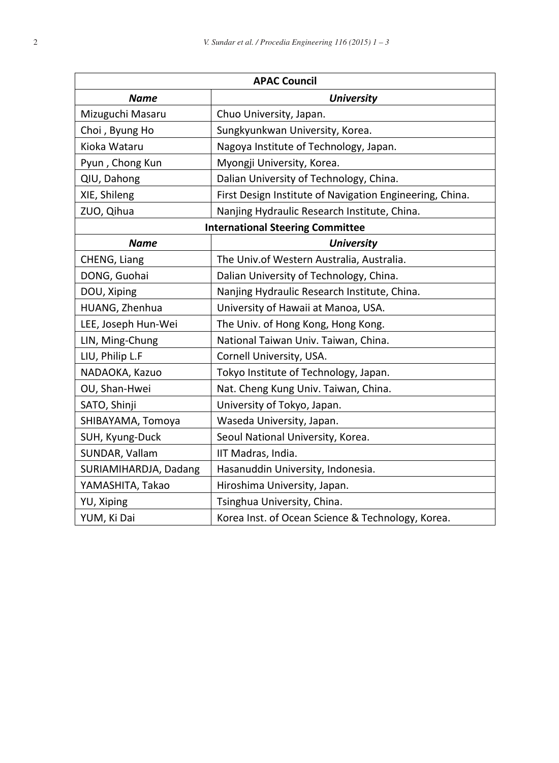| <b>APAC Council</b>                     |                                                          |  |
|-----------------------------------------|----------------------------------------------------------|--|
| <b>Name</b>                             | <b>University</b>                                        |  |
| Mizuguchi Masaru                        | Chuo University, Japan.                                  |  |
| Choi, Byung Ho                          | Sungkyunkwan University, Korea.                          |  |
| Kioka Wataru                            | Nagoya Institute of Technology, Japan.                   |  |
| Pyun, Chong Kun                         | Myongji University, Korea.                               |  |
| QIU, Dahong                             | Dalian University of Technology, China.                  |  |
| XIE, Shileng                            | First Design Institute of Navigation Engineering, China. |  |
| ZUO, Qihua                              | Nanjing Hydraulic Research Institute, China.             |  |
| <b>International Steering Committee</b> |                                                          |  |
| <b>Name</b>                             | <b>University</b>                                        |  |
| CHENG, Liang                            | The Univ.of Western Australia, Australia.                |  |
| DONG, Guohai                            | Dalian University of Technology, China.                  |  |
| DOU, Xiping                             | Nanjing Hydraulic Research Institute, China.             |  |
| HUANG, Zhenhua                          | University of Hawaii at Manoa, USA.                      |  |
| LEE, Joseph Hun-Wei                     | The Univ. of Hong Kong, Hong Kong.                       |  |
| LIN, Ming-Chung                         | National Taiwan Univ. Taiwan, China.                     |  |
| LIU, Philip L.F                         | Cornell University, USA.                                 |  |
| NADAOKA, Kazuo                          | Tokyo Institute of Technology, Japan.                    |  |
| OU, Shan-Hwei                           | Nat. Cheng Kung Univ. Taiwan, China.                     |  |
| SATO, Shinji                            | University of Tokyo, Japan.                              |  |
| SHIBAYAMA, Tomoya                       | Waseda University, Japan.                                |  |
| SUH, Kyung-Duck                         | Seoul National University, Korea.                        |  |
| SUNDAR, Vallam                          | IIT Madras, India.                                       |  |
| SURIAMIHARDJA, Dadang                   | Hasanuddin University, Indonesia.                        |  |
| YAMASHITA, Takao                        | Hiroshima University, Japan.                             |  |
| YU, Xiping                              | Tsinghua University, China.                              |  |
| YUM, Ki Dai                             | Korea Inst. of Ocean Science & Technology, Korea.        |  |